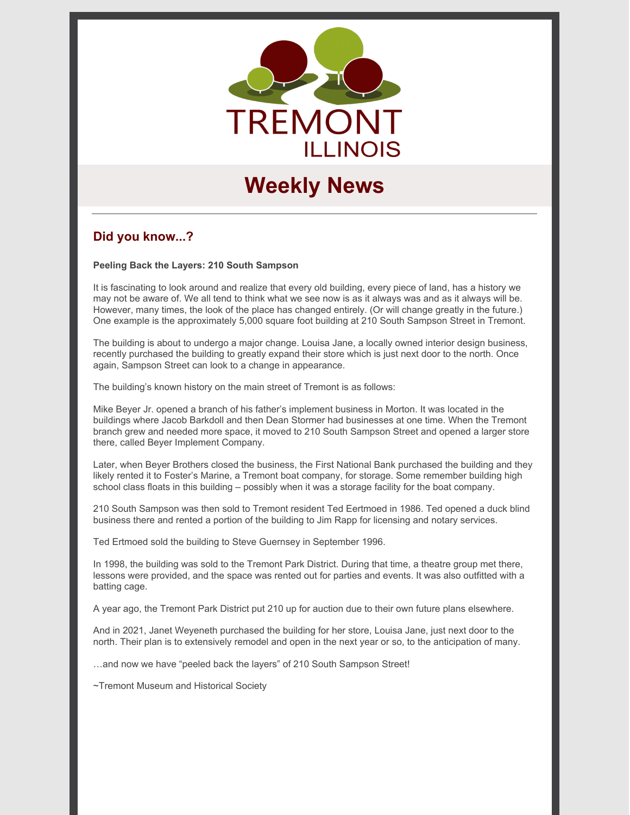

# **Weekly News**

# **Did you know...?**

**Peeling Back the Layers: 210 South Sampson**

It is fascinating to look around and realize that every old building, every piece of land, has a history we may not be aware of. We all tend to think what we see now is as it always was and as it always will be. However, many times, the look of the place has changed entirely. (Or will change greatly in the future.) One example is the approximately 5,000 square foot building at 210 South Sampson Street in Tremont.

The building is about to undergo a major change. Louisa Jane, a locally owned interior design business, recently purchased the building to greatly expand their store which is just next door to the north. Once again, Sampson Street can look to a change in appearance.

The building's known history on the main street of Tremont is as follows:

Mike Beyer Jr. opened a branch of his father's implement business in Morton. It was located in the buildings where Jacob Barkdoll and then Dean Stormer had businesses at one time. When the Tremont branch grew and needed more space, it moved to 210 South Sampson Street and opened a larger store there, called Beyer Implement Company.

Later, when Beyer Brothers closed the business, the First National Bank purchased the building and they likely rented it to Foster's Marine, a Tremont boat company, for storage. Some remember building high school class floats in this building – possibly when it was a storage facility for the boat company.

210 South Sampson was then sold to Tremont resident Ted Eertmoed in 1986. Ted opened a duck blind business there and rented a portion of the building to Jim Rapp for licensing and notary services.

Ted Ertmoed sold the building to Steve Guernsey in September 1996.

In 1998, the building was sold to the Tremont Park District. During that time, a theatre group met there, lessons were provided, and the space was rented out for parties and events. It was also outfitted with a batting cage.

A year ago, the Tremont Park District put 210 up for auction due to their own future plans elsewhere.

And in 2021, Janet Weyeneth purchased the building for her store, Louisa Jane, just next door to the north. Their plan is to extensively remodel and open in the next year or so, to the anticipation of many.

…and now we have "peeled back the layers" of 210 South Sampson Street!

~Tremont Museum and Historical Society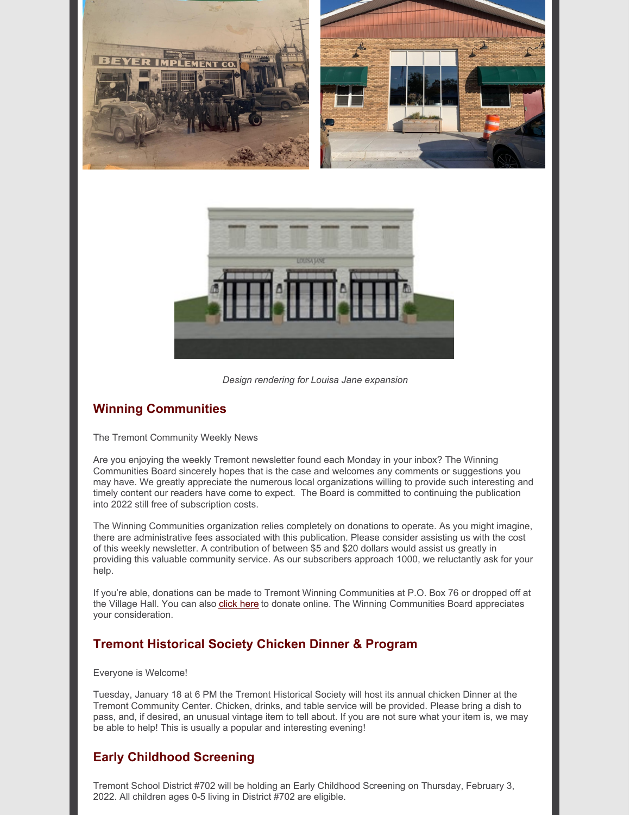



*Design rendering for Louisa Jane expansion*

# **Winning Communities**

#### The Tremont Community Weekly News

Are you enjoying the weekly Tremont newsletter found each Monday in your inbox? The Winning Communities Board sincerely hopes that is the case and welcomes any comments or suggestions you may have. We greatly appreciate the numerous local organizations willing to provide such interesting and timely content our readers have come to expect. The Board is committed to continuing the publication into 2022 still free of subscription costs.

The Winning Communities organization relies completely on donations to operate. As you might imagine, there are administrative fees associated with this publication. Please consider assisting us with the cost of this weekly newsletter. A contribution of between \$5 and \$20 dollars would assist us greatly in providing this valuable community service. As our subscribers approach 1000, we reluctantly ask for your help.

If you're able, donations can be made to Tremont Winning Communities at P.O. Box 76 or dropped off at the Village Hall. You can also [click](https://www.tremontil.com/donate.html) here to donate online. The Winning Communities Board appreciates your consideration.

# **Tremont Historical Society Chicken Dinner & Program**

#### Everyone is Welcome!

Tuesday, January 18 at 6 PM the Tremont Historical Society will host its annual chicken Dinner at the Tremont Community Center. Chicken, drinks, and table service will be provided. Please bring a dish to pass, and, if desired, an unusual vintage item to tell about. If you are not sure what your item is, we may be able to help! This is usually a popular and interesting evening!

# **Early Childhood Screening**

Tremont School District #702 will be holding an Early Childhood Screening on Thursday, February 3, 2022. All children ages 0-5 living in District #702 are eligible.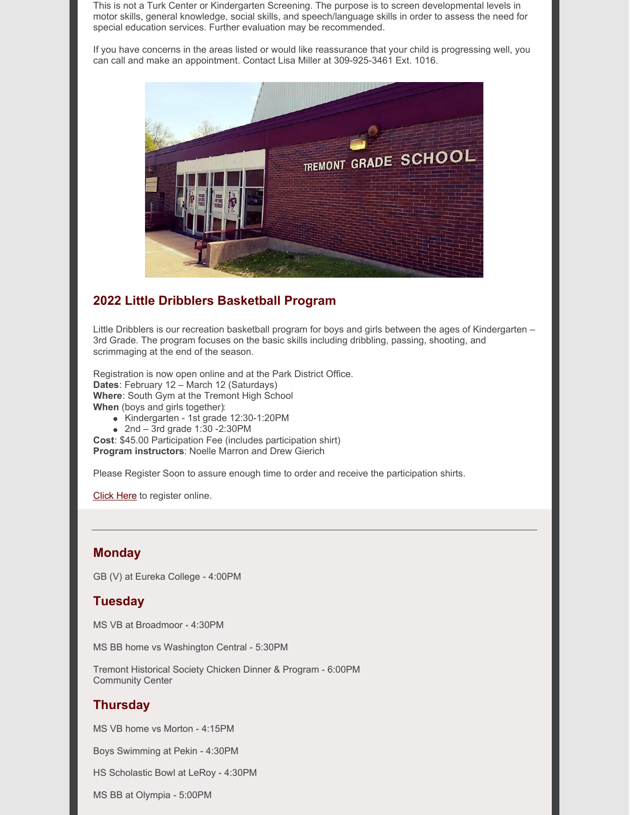This is not a Turk Center or Kindergarten Screening. The purpose is to screen developmental levels in motor skills, general knowledge, social skills, and speech/language skills in order to assess the need for special education services. Further evaluation may be recommended.

If you have concerns in the areas listed or would like reassurance that your child is progressing well, you can call and make an appointment. Contact Lisa Miller at 309-925-3461 Ext. 1016.



## **2022 Little Dribblers Basketball Program**

Little Dribblers is our recreation basketball program for boys and girls between the ages of Kindergarten – 3rd Grade. The program focuses on the basic skills including dribbling, passing, shooting, and scrimmaging at the end of the season.

Registration is now open online and at the Park District Office. **Dates**: February 12 – March 12 (Saturdays) **Where**: South Gym at the Tremont High School **When** (boys and girls together):

- Kindergarten 1st grade 12:30-1:20PM
- $2nd 3rd$  grade 1:30 -2:30PM

**Cost**: \$45.00 Participation Fee (includes participation shirt) **Program instructors**: Noelle Marron and Drew Gierich

Please Register Soon to assure enough time to order and receive the participation shirts.

[Click](https://tremontpark.recdesk.com/Community/Program/Detail?programId=1039) Here to register online.

## **Monday**

GB (V) at Eureka College - 4:00PM

### **Tuesday**

MS VB at Broadmoor - 4:30PM

MS BB home vs Washington Central - 5:30PM

Tremont Historical Society Chicken Dinner & Program - 6:00PM Community Center

### **Thursday**

MS VB home vs Morton - 4:15PM

Boys Swimming at Pekin - 4:30PM

HS Scholastic Bowl at LeRoy - 4:30PM

MS BB at Olympia - 5:00PM